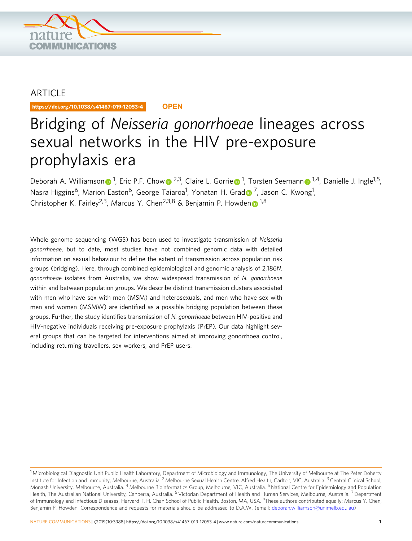

## ARTICLE

https://doi.org/10.1038/s41467-019-12053-4 **OPEN**

# Bridging of Neisseria gonorrhoeae lineages across sexual networks in the HIV pre-exposure prophylaxis era

Deborah A. Williamso[n](http://orcid.org/0000-0001-6046-610X) D<sup>[1](http://orcid.org/0000-0001-6046-610X)</sup>, Eric P.F. Cho[w](http://orcid.org/0000-0003-1766-0657) D<sup>[2](http://orcid.org/0000-0003-1766-0657),3</sup>, Clair[e](http://orcid.org/0000-0002-2637-2529) L. Gorrie D<sup>1</sup>, Torsten Seemann D<sup>1,4</sup>, Danielle J. Ingle<sup>1,5</sup>, Nasra Higgins<sup>6</sup>, Marion Easton<sup>6</sup>, George Taiaroa<sup>1</sup>, Yonatan H. Gra[d](http://orcid.org/0000-0001-5646-1314)⊙<sup>[7](http://orcid.org/0000-0001-5646-1314)</sup>, Jason C. Kwong<sup>1</sup>, Christopher K. Fairley<sup>2,3</sup>, Marcus Y. Che[n](http://orcid.org/0000-0003-0237-1473)<sup>2,3,8</sup> & Benjamin P. Howden <sup>[1](http://orcid.org/0000-0003-0237-1473),8</sup>

Whole genome sequencing (WGS) has been used to investigate transmission of Neisseria gonorrhoeae, but to date, most studies have not combined genomic data with detailed information on sexual behaviour to define the extent of transmission across population risk groups (bridging). Here, through combined epidemiological and genomic analysis of 2,186N. gonorrhoeae isolates from Australia, we show widespread transmission of N. gonorrhoeae within and between population groups. We describe distinct transmission clusters associated with men who have sex with men (MSM) and heterosexuals, and men who have sex with men and women (MSMW) are identified as a possible bridging population between these groups. Further, the study identifies transmission of N. gonorrhoeae between HIV-positive and HIV-negative individuals receiving pre-exposure prophylaxis (PrEP). Our data highlight several groups that can be targeted for interventions aimed at improving gonorrhoea control, including returning travellers, sex workers, and PrEP users.

<sup>&</sup>lt;sup>1</sup> Microbiological Diagnostic Unit Public Health Laboratory, Department of Microbiology and Immunology, The University of Melbourne at The Peter Doherty Institute for Infection and Immunity, Melbourne, Australia. <sup>2</sup> Melbourne Sexual Health Centre, Alfred Health, Carlton, VIC, Australia. <sup>3</sup> Central Clinical School, Monash University, Melbourne, Australia. <sup>4</sup> Melbourne Bioinformatics Group, Melbourne, VIC, Australia. <sup>5</sup> National Centre for Epidemiology and Population Health, The Australian National University, Canberra, Australia. <sup>6</sup> Victorian Department of Health and Human Services, Melbourne, Australia. <sup>7</sup> Department of Immunology and Infectious Diseases, Harvard T. H. Chan School of Public Health, Boston, MA, USA. <sup>8</sup>These authors contributed equally: Marcus Y. Chen, Benjamin P. Howden. Correspondence and requests for materials should be addressed to D.A.W. (email: [deborah.williamson@unimelb.edu.au\)](mailto:deborah.williamson@unimelb.edu.au)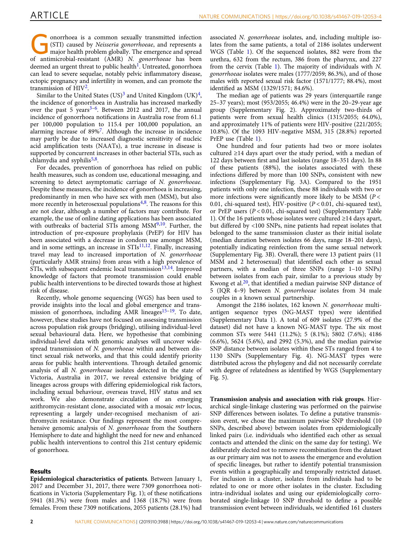onorrhoea is a common sexually transmitted infection (STI) caused by Neisseria gonorrhoeae, and represents a major health problem globally. The emergence and spread of antimicrobial-resistant (AMR) N. gonorrhoeae has been deemed an urgent threat to public health<sup>[1](#page-7-0)</sup>. Untreated, gonorrhoea can lead to severe sequelae, notably pelvic inflammatory disease, ectopic pregnancy and infertility in women, and can promote the transmission of  $HIV<sup>2</sup>$  $HIV<sup>2</sup>$  $HIV<sup>2</sup>$ .

Similar to the United States  $(US)^3$  $(US)^3$  and United Kingdom  $(UK)^4$ , the incidence of gonorrhoea in Australia has increased markedly over the past 5 years $3-6$  $3-6$ . Between 2012 and 2017, the annual incidence of gonorrhoea notifications in Australia rose from 61.1 per 100,000 population to 115.4 per 100,000 population, an alarming increase of 89%[7](#page-8-0). Although the increase in incidence may partly be due to increased diagnostic sensitivity of nucleic acid amplification tests (NAATs), a true increase in disease is supported by concurrent increases in other bacterial STIs, such as chlamydia and syphilis $5,8$  $5,8$ .

For decades, prevention of gonorrhoea has relied on public health measures, such as condom use, educational messaging, and screening to detect asymptomatic carriage of N. gonorrhoeae. Despite these measures, the incidence of gonorrhoea is increasing, predominantly in men who have sex with men (MSM), but also more recently in heterosexual populations $4,8$ . The reasons for this are not clear, although a number of factors may contribute. For example, the use of online dating applications has been associated with outbreaks of bacterial STIs among MSM<sup>9,10</sup>. Further, the introduction of pre-exposure prophylaxis (PrEP) for HIV has been associated with a decrease in condom use amongst MSM, and in some settings, an increase in  $STIs<sup>11,12</sup>$  $STIs<sup>11,12</sup>$  $STIs<sup>11,12</sup>$  $STIs<sup>11,12</sup>$  $STIs<sup>11,12</sup>$ . Finally, increasing travel may lead to increased importation of N. gonorrhoeae (particularly AMR strains) from areas with a high prevalence of STIs, with subsequent endemic local transmission<sup>13,14</sup>. Improved knowledge of factors that promote transmission could enable public health interventions to be directed towards those at highest risk of disease.

Recently, whole genome sequencing (WGS) has been used to provide insights into the local and global emergence and trans-mission of gonorrhoea, including AMR lineages<sup>[15](#page-8-0)-[19](#page-8-0)</sup>. To date, however, these studies have not focused on assessing transmission across population risk groups (bridging), utilising individual-level sexual behavioural data. Here, we hypothesise that combining individual-level data with genomic analyses will uncover widespread transmission of N. gonorrhoeae within and between distinct sexual risk networks, and that this could identify priority areas for public health interventions. Through detailed genomic analysis of all N. gonorrhoeae isolates detected in the state of Victoria, Australia in 2017, we reveal extensive bridging of lineages across groups with differing epidemiological risk factors, including sexual behaviour, overseas travel, HIV status and sex work. We also demonstrate circulation of an emerging azithromycin-resistant clone, associated with a mosaic mtr locus, representing a largely under-recognised mechanism of azithromycin resistance. Our findings represent the most comprehensive genomic analysis of N. gonorrhoeae from the Southern Hemisphere to date and highlight the need for new and enhanced public health interventions to control this 21st century epidemic of gonorrhoea.

### Results

Epidemiological characteristics of patients. Between January 1, 2017 and December 31, 2017, there were 7309 gonorrhoea notifications in Victoria (Supplementary Fig. 1); of these notifications 5941 (81.3%) were from males and 1368 (18.7%) were from females. From these 7309 notifications, 2055 patients (28.1%) had

associated N. gonorrhoeae isolates, and, including multiple isolates from the same patients, a total of 2186 isolates underwent WGS (Table [1](#page-2-0)). Of the sequenced isolates, 882 were from the urethra, 632 from the rectum, 386 from the pharynx, and 227 from the cervix (Table [1](#page-2-0)). The majority of individuals with N. gonorrhoeae isolates were males (1777/2059; 86.3%), and of those males with reported sexual risk factor (1571/1777; 88.4%), most identified as MSM (1329/1571; 84.6%).

The median age of patients was 29 years (interquartile range 25–37 years); most (953/2055; 46.4%) were in the 20–29-year age group (Supplementary Fig. 2). Approximately two-thirds of patients were from sexual health clinics (1315/2055; 64.0%), and approximately 11% of patients were HIV-positive (221/2055; 10.8%). Of the 1093 HIV-negative MSM, 315 (28.8%) reported PrEP use (Table [1\)](#page-2-0).

One hundred and four patients had two or more isolates cultured ≥14 days apart over the study period, with a median of 122 days between first and last isolates (range 18–351 days). In 88 of these patients (88%), the isolates associated with these infections differed by more than 100 SNPs, consistent with new infections (Supplementary Fig. 3A). Compared to the 1951 patients with only one infection, these 88 individuals with two or more infections were significantly more likely to be MSM ( $P <$ 0.01, chi-squared test), HIV-positive  $(P < 0.01$ , chi-squared test), or PrEP users  $(P < 0.01$ , chi-squared test) (Supplementary Table 1). Of the 16 patients whose isolates were cultured ≥14 days apart, but differed by <100 SNPs, nine patients had repeat isolates that belonged to the same transmission cluster as their initial isolate (median duration between isolates 66 days, range 18–201 days), potentially indicating reinfection from the same sexual network (Supplementary Fig. 3B). Overall, there were 13 patient pairs (11 MSM and 2 heterosexual) that identified each other as sexual partners, with a median of three SNPs (range 1–10 SNPs) between isolates from each pair, similar to a previous study by Kwong et al. $20$ , that identified a median pairwise SNP distance of 5 (IQR 4–9) between N. gonorrhoeae isolates from 34 male couples in a known sexual partnership.

Amongst the 2186 isolates, 162 known N. gonorrhoeae multiantigen sequence types (NG-MAST types) were identified (Supplementary Data 1). A total of 609 isolates (27.9% of the dataset) did not have a known NG-MAST type. The six most common STs were 5441 (11.2%); 5 (8.1%); 5802 (7.6%); 4186 (6.6%), 5624 (5.6%), and 2992 (5.3%), and the median pairwise SNP distance between isolates within these STs ranged from 4 to 1130 SNPs (Supplementary Fig. 4). NG-MAST types were distributed across the phylogeny and did not necessarily correlate with degree of relatedness as identified by WGS (Supplementary Fig. 5).

Transmission analysis and association with risk groups. Hierarchical single-linkage clustering was performed on the pairwise SNP differences between isolates. To define a putative transmission event, we chose the maximum pairwise SNP threshold (10 SNPs, described above) between isolates from epidemiologically linked pairs (i.e. individuals who identified each other as sexual contacts and attended the clinic on the same day for testing). We deliberately elected not to remove recombination from the dataset as our primary aim was not to assess the emergence and evolution of specific lineages, but rather to identify potential transmission events within a geographically and temporally restricted dataset. For inclusion in a cluster, isolates from individuals had to be related to one or more other isolates in the cluster. Excluding intra-individual isolates and using our epidemiologically corroborated single-linkage 10 SNP threshold to define a possible transmission event between individuals, we identified 161 clusters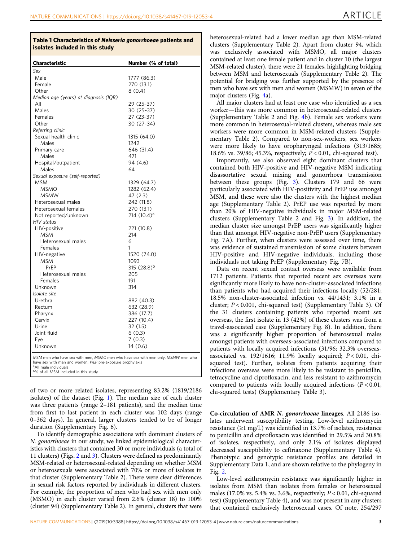#### <span id="page-2-0"></span>Table 1 Characteristics of Neisseria gonorrhoeae patients and isolates included in this study

| Characteristic                                                                                                                                 | Number (% of total)     |
|------------------------------------------------------------------------------------------------------------------------------------------------|-------------------------|
| Sex                                                                                                                                            |                         |
| Male                                                                                                                                           | 1777 (86.3)             |
| Female                                                                                                                                         | 270 (13.1)              |
| Other                                                                                                                                          | 8(0.4)                  |
| Median age (years) at diagnosis (IQR)                                                                                                          |                         |
| All                                                                                                                                            | 29 (25-37)              |
| Males                                                                                                                                          | 30 (25-37)              |
| Females                                                                                                                                        | 27 (23-37)              |
| Other                                                                                                                                          | 30 (27-34)              |
| Referring clinic                                                                                                                               |                         |
| Sexual health clinic                                                                                                                           | 1315 (64.0)             |
| Males                                                                                                                                          | 1242                    |
| Primary care                                                                                                                                   | 646 (31.4)              |
| Males                                                                                                                                          | 471                     |
| Hospital/outpatient                                                                                                                            | 94 (4.6)                |
| Males                                                                                                                                          | 64                      |
| Sexual exposure (self-reported)                                                                                                                |                         |
| <b>MSM</b>                                                                                                                                     | 1329 (64.7)             |
| <b>MSMO</b>                                                                                                                                    | 1282 (62.4)             |
| <b>MSMW</b>                                                                                                                                    | 47 (2.3)                |
| Heterosexual males                                                                                                                             | 242 (11.8)              |
| Heterosexual females                                                                                                                           | 270 (13.1)              |
| Not reported/unknown                                                                                                                           | 214 (10.4) <sup>a</sup> |
| HIV status                                                                                                                                     |                         |
| HIV-positive                                                                                                                                   | 221 (10.8)              |
| <b>MSM</b>                                                                                                                                     | 214                     |
| Heterosexual males                                                                                                                             | 6                       |
| Females                                                                                                                                        | 1                       |
| HIV-negative                                                                                                                                   | 1520 (74.0)             |
| <b>MSM</b>                                                                                                                                     | 1093                    |
| PrEP                                                                                                                                           | 315 $(28.8)^{b}$        |
| Heterosexual males                                                                                                                             | 205                     |
| Females                                                                                                                                        | 191                     |
| Unknown                                                                                                                                        | 314                     |
| Isolate site                                                                                                                                   |                         |
| Urethra                                                                                                                                        | 882 (40.3)              |
| Rectum                                                                                                                                         | 632 (28.9)              |
| Pharynx                                                                                                                                        | 386 (17.7)              |
| Cervix                                                                                                                                         | 227 (10.4)              |
| Urine                                                                                                                                          | 32 (1.5)                |
| Joint fluid                                                                                                                                    | 6(0.3)                  |
| Eye                                                                                                                                            | 7(0.3)                  |
| Unknown                                                                                                                                        | 14 (0.6)                |
| MSM men who have sex with men, MSMO men who have sex with men only, MSMW men who<br>have sex with men and women, PrEP pre-exposure prophylaxis |                         |

aAll male individuals <sup>b%</sup> of all MSM included in this study

of two or more related isolates, representing 83.2% (1819/2186 isolates) of the dataset (Fig. [1\)](#page-3-0). The median size of each cluster was three patients (range 2–181 patients), and the median time from first to last patient in each cluster was 102 days (range 0–362 days). In general, larger clusters tended to be of longer duration (Supplementary Fig. 6).

To identify demographic associations with dominant clusters of N. gonorrhoeae in our study, we linked epidemiological characteristics with clusters that contained 30 or more individuals (a total of 11 clusters) (Figs. [2](#page-4-0) and [3\)](#page-5-0). Clusters were defined as predominantly MSM-related or heterosexual-related depending on whether MSM or heterosexuals were associated with 70% or more of isolates in that cluster (Supplementary Table 2). There were clear differences in sexual risk factors reported by individuals in different clusters. For example, the proportion of men who had sex with men only (MSMO) in each cluster varied from 2.6% (cluster 18) to 100% (cluster 94) (Supplementary Table 2). In general, clusters that were

heterosexual-related had a lower median age than MSM-related clusters (Supplementary Table 2). Apart from cluster 94, which was exclusively associated with MSMO, all major clusters contained at least one female patient and in cluster 10 (the largest MSM-related cluster), there were 21 females, highlighting bridging between MSM and heterosexuals (Supplementary Table 2). The potential for bridging was further supported by the presence of men who have sex with men and women (MSMW) in seven of the major clusters (Fig. [4a](#page-5-0)).

All major clusters had at least one case who identified as a sex worker—this was more common in heterosexual-related clusters (Supplementary Table 2 and Fig. [4](#page-5-0)b). Female sex workers were more common in heterosexual-related clusters, whereas male sex workers were more common in MSM-related clusters (Supplementary Table 2). Compared to non-sex-workers, sex workers were more likely to have oropharyngeal infections (313/1685; 18.6% vs. 39/86; 45.3%, respectively; P < 0.01, chi-squared test).

Importantly, we also observed eight dominant clusters that contained both HIV-positive and HIV-negative MSM indicating disassortative sexual mixing and gonorrhoea transmission between these groups (Fig. [3\)](#page-5-0). Clusters 179 and 66 were particularly associated with HIV-positivity and PrEP use amongst MSM, and these were also the clusters with the highest median age (Supplementary Table 2). PrEP use was reported by more than 20% of HIV-negative individuals in major MSM-related clusters (Supplementary Table 2 and Fig. [3](#page-5-0)). In addition, the median cluster size amongst PrEP users was significantly higher than that amongst HIV-negative non-PrEP users (Supplementary Fig. 7A). Further, when clusters were assessed over time, there was evidence of sustained transmission of some clusters between HIV-positive and HIV-negative individuals, including those individuals not taking PrEP (Supplementary Fig. 7B).

Data on recent sexual contact overseas were available from 1712 patients. Patients that reported recent sex overseas were significantly more likely to have non-cluster-associated infections than patients who had acquired their infections locally (52/281; 18.5% non-cluster-associated infection vs. 44/1431; 3.1% in a cluster; P < 0.001, chi-squared test) (Supplementary Table 3). Of the 31 clusters containing patients who reported recent sex overseas, the first isolate in 13 (42%) of these clusters was from a travel-associated case (Supplementary Fig. 8). In addition, there was a significantly higher proportion of heterosexual males amongst patients with overseas-associated infections compared to patients with locally acquired infections (31/96; 32.3% overseasassociated vs. 192/1616; 11.9% locally acquired;  $P < 0.01$ , chisquared test). Further, isolates from patients acquiring their infections overseas were more likely to be resistant to penicillin, tetracycline and ciprofloxacin, and less resistant to azithromycin compared to patients with locally acquired infections  $(P < 0.01$ , chi-squared tests) (Supplementary Table 3).

Co-circulation of AMR N. gonorrhoeae lineages. All 2186 isolates underwent susceptibility testing. Low-level azithromycin resistance (≥1 mg/L) was identified in 13.7% of isolates, resistance to penicillin and ciprofloxacin was identified in 29.5% and 30.8% of isolates, respectively, and only 2.1% of isolates displayed decreased susceptibility to ceftriaxone (Supplementary Table 4). Phenotypic and genotypic resistance profiles are detailed in Supplementary Data 1, and are shown relative to the phylogeny in Fig. [2](#page-4-0).

Low-level azithromycin resistance was significantly higher in isolates from MSM than isolates from females or heterosexual males (17.0% vs. 5.4% vs. 3.6%, respectively;  $P < 0.01$ , chi-squared test) (Supplementary Table 4), and was not present in any clusters that contained exclusively heterosexual cases. Of note, 254/297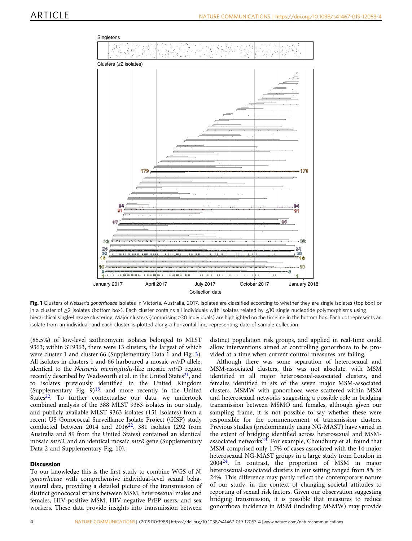<span id="page-3-0"></span>

Fig. 1 Clusters of Neisseria gonorrhoeae isolates in Victoria, Australia, 2017. Isolates are classified according to whether they are single isolates (top box) or in a cluster of ≥2 isolates (bottom box). Each cluster contains all individuals with isolates related by ≤10 single nucleotide polymorphisms using hierarchical single-linkage clustering. Major clusters (comprising >30 individuals) are highlighted on the timeline in the bottom box. Each dot represents an isolate from an individual, and each cluster is plotted along a horizontal line, representing date of sample collection

(85.5%) of low-level azithromycin isolates belonged to MLST 9363; within ST9363, there were 13 clusters, the largest of which were cluster 1 and cluster 66 (Supplementary Data 1 and Fig. [3](#page-5-0)). All isolates in clusters 1 and 66 harboured a mosaic *mtrD* allele, identical to the Neisseria meningitidis-like mosaic mtrD region recently described by Wadsworth et al. in the United States $^{21}$  $^{21}$  $^{21}$ , and to isolates previously identified in the United Kingdom (Supplementary Fig.  $9)^{18}$ , and more recently in the United States<sup>22</sup>. To further contextualise our data, we undertook combined analysis of the 388 MLST 9363 isolates in our study, and publicly available MLST 9363 isolates (151 isolates) from a recent US Gonococcal Surveillance Isolate Project (GISP) study conducted between 2014 and  $2016^{22}$ . 381 isolates (292 from Australia and 89 from the United States) contained an identical mosaic *mtrD*, and an identical mosaic *mtrR* gene (Supplementary Data 2 and Supplementary Fig. 10).

#### **Discussion**

To our knowledge this is the first study to combine WGS of N. gonorrhoeae with comprehensive individual-level sexual behavioural data, providing a detailed picture of the transmission of distinct gonococcal strains between MSM, heterosexual males and females, HIV-positive MSM, HIV-negative PrEP users, and sex workers. These data provide insights into transmission between

distinct population risk groups, and applied in real-time could allow interventions aimed at controlling gonorrhoea to be provided at a time when current control measures are failing.

Although there was some separation of heterosexual and MSM-associated clusters, this was not absolute, with MSM identified in all major heterosexual-associated clusters, and females identified in six of the seven major MSM-associated clusters. MSMW with gonorrhoea were scattered within MSM and heterosexual networks suggesting a possible role in bridging transmission between MSMO and females, although given our sampling frame, it is not possible to say whether these were responsible for the commencement of transmission clusters. Previous studies (predominantly using NG-MAST) have varied in the extent of bridging identified across heterosexual and MSMassociated networks $^{23}$  $^{23}$  $^{23}$ . For example, Choudhury et al. found that MSM comprised only 1.7% of cases associated with the 14 major heterosexual NG-MAST groups in a large study from London in  $2004^{24}$ . In contrast, the proportion of MSM in major heterosexual-associated clusters in our setting ranged from 8% to 24%. This difference may partly reflect the contemporary nature of our study, in the context of changing societal attitudes to reporting of sexual risk factors. Given our observation suggesting bridging transmission, it is possible that measures to reduce gonorrhoea incidence in MSM (including MSMW) may provide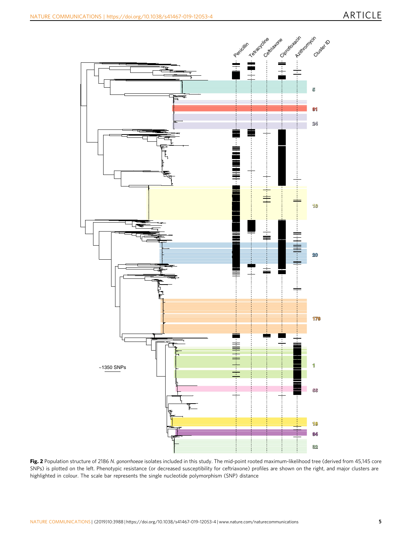<span id="page-4-0"></span>

Fig. 2 Population structure of 2186 N. gonorrhoeae isolates included in this study. The mid-point rooted maximum-likelihood tree (derived from 45,145 core SNPs) is plotted on the left. Phenotypic resistance (or decreased susceptibility for ceftriaxone) profiles are shown on the right, and major clusters are highlighted in colour. The scale bar represents the single nucleotide polymorphism (SNP) distance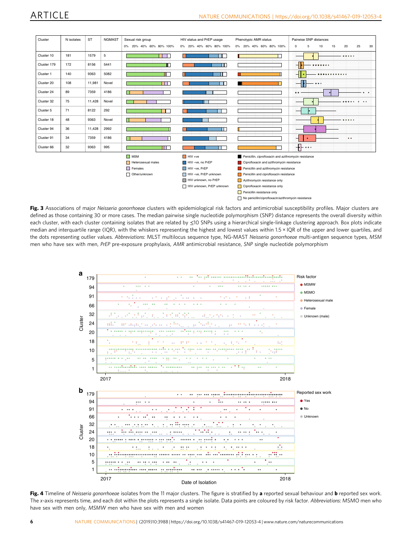<span id="page-5-0"></span>

| Cluster     | N isolates | <b>ST</b> | <b>NGMAST</b> | Sexual risk group       | HIV status and PrEP usage | Phenotypic AMR status                                    | Pairwise SNP distances                                                                                   |
|-------------|------------|-----------|---------------|-------------------------|---------------------------|----------------------------------------------------------|----------------------------------------------------------------------------------------------------------|
|             |            |           |               |                         |                           |                                                          |                                                                                                          |
|             |            |           |               | 0% 20% 40% 60% 80% 100% | 0% 20% 40% 60% 80% 100%   | 0% 20% 40% 60% 80% 100%                                  | 25<br>$\mathbf 0$<br>5<br>10<br>15<br>20<br>30                                                           |
| Cluster 10  | 181        | 1579      | 5             |                         |                           |                                                          | 000000                                                                                                   |
| Cluster 179 | 172        | 8156      | 5441          |                         | Ш.                        |                                                          | ⊣<br>$0.00000000$                                                                                        |
| Cluster 1   | 140        | 9363      | 5082          |                         | г                         |                                                          | $\overline{\phantom{a}}$<br>.                                                                            |
| Cluster 20  | 108        | 11,981    | Novel         | т                       | ш.                        |                                                          | $\bullet\bullet\bullet$<br>-                                                                             |
| Cluster 24  | 89         | 7359      | 4186          |                         |                           |                                                          | $\bullet$                                                                                                |
| Cluster 32  | 75         | 11,428    | Novel         |                         |                           |                                                          | $^{\circ}$<br>00000<br>$\bullet$                                                                         |
| Cluster 5   | 71         | 8122      | 292           |                         |                           |                                                          |                                                                                                          |
| Cluster 18  | 48         | 9363      | Novel         |                         |                           |                                                          | 000000                                                                                                   |
| Cluster 94  | 36         | 11,428    | 2992          |                         | Ш                         |                                                          |                                                                                                          |
| Cluster 91  | 34         | 7359      | 4186          |                         |                           |                                                          | $\bullet$                                                                                                |
| Cluster 66  | 32         | 9363      | 995           | H H                     |                           |                                                          | $\overline{\bullet}$ $\overline{\bullet}$ $\overline{\bullet}$ $\overline{\bullet}$ $\overline{\bullet}$ |
|             |            |           |               | $\Box$ MSM              | $HIV +ve$                 | Penicillin, ciprofloxacin and azithromycin resistance    |                                                                                                          |
|             |            |           |               | Heterosexual males      | HIV-ve, no PrEP           | Ciprofloxacin and azithromycin resistance                |                                                                                                          |
|             |            |           |               | $\Box$ Females          | HIV-ve, PrEP              | Penicillin and azithromycin resistance                   |                                                                                                          |
|             |            |           |               | Other/unknown           | HIV-ve, PrEP unknown      | Penicillin and ciprofloxacin resistance                  |                                                                                                          |
|             |            |           |               |                         | HIV unknown, no PrEP      | Azithromycin resistance only                             |                                                                                                          |
|             |            |           |               |                         | HIV unknown, PrEP unknown | Ciprofloxacin resistance only                            |                                                                                                          |
|             |            |           |               |                         |                           | Penicillin resistance only                               |                                                                                                          |
|             |            |           |               |                         |                           | No penicillin/ciprofloxacin/azithromycin resistance<br>п |                                                                                                          |

Fig. 3 Associations of major Neisseria gonorrhoeae clusters with epidemiological risk factors and antimicrobial susceptibility profiles. Major clusters are defined as those containing 30 or more cases. The median pairwise single nucleotide polymorphism (SNP) distance represents the overall diversity within each cluster, with each cluster containing isolates that are related by ≤10 SNPs using a hierarchical single-linkage clustering approach. Box plots indicate median and interquartile range (IQR), with the whiskers representing the highest and lowest values within 1.5 × IQR of the upper and lower quartiles, and the dots representing outlier values. Abbreviations: MLST multilocus sequence type, NG-MAST Neisseria gonorrhoeae multi-antigen sequence types, MSM men who have sex with men, PrEP pre-exposure prophylaxis, AMR antimicrobial resistance, SNP single nucleotide polymorphism



Fig. 4 Timeline of Neisseria gonorrhoeae isolates from the 11 major clusters. The figure is stratified by a reported sexual behaviour and b reported sex work. The x-axis represents time, and each dot within the plots represents a single isolate. Data points are coloured by risk factor. Abbreviations: MSMO men who have sex with men only, MSMW men who have sex with men and women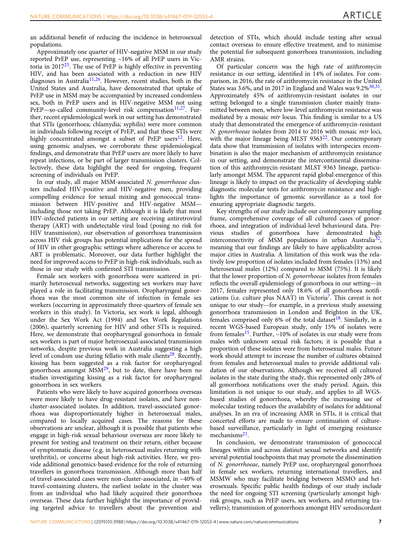an additional benefit of reducing the incidence in heterosexual populations.

Approximately one quarter of HIV-negative MSM in our study reported PrEP use, representing ~16% of all PrEP users in Victoria in 2017[25](#page-8-0). The use of PrEP is highly effective in preventing HIV, and has been associated with a reduction in new HIV diagnoses in Australia<sup>[11](#page-8-0),[26](#page-8-0)</sup>. However, recent studies, both in the United States and Australia, have demonstrated that uptake of PrEP use in MSM may be accompanied by increased condomless sex, both in PrEP users and in HIV-negative MSM not using  $PrEP$ —so-called community-level risk compensation<sup>11,27</sup>. Further, recent epidemiological work in our setting has demonstrated that STIs (gonorrhoea; chlamydia; syphilis) were more common in individuals following receipt of PrEP, and that these STIs were highly concentrated amongst a subset of PrEP users<sup>[12](#page-8-0)</sup>. Here, using genomic analyses, we corroborate these epidemiological findings, and demonstrate that PrEP users are more likely to have repeat infections, or be part of larger transmission clusters. Collectively, these data highlight the need for ongoing, frequent screening of individuals on PrEP.

In our study, all major MSM-associated N. gonorrhoeae clusters included HIV-positive and HIV-negative men, providing compelling evidence for sexual mixing and gonococcal transmission between HIV-positive and HIV-negative MSM including those not taking PrEP. Although it is likely that most HIV-infected patients in our setting are receiving antiretroviral therapy (ART) with undetectable viral load (posing no risk for HIV transmission), our observation of gonorrhoea transmission across HIV risk groups has potential implications for the spread of HIV in other geographic settings where adherence or access to ART is problematic. Moreover, our data further highlight the need for improved access to PrEP in high-risk individuals, such as those in our study with confirmed STI transmission.

Female sex workers with gonorrhoea were scattered in primarily heterosexual networks, suggesting sex workers may have played a role in facilitating transmission. Oropharyngeal gonorrhoea was the most common site of infection in female sex workers (occurring in approximately three-quarters of female sex workers in this study). In Victoria, sex work is legal, although under the Sex Work Act (1994) and Sex Work Regulations (2006), quarterly screening for HIV and other STIs is required. Here, we demonstrate that oropharyngeal gonorrhoea in female sex workers is part of major heterosexual-associated transmission networks, despite previous work in Australia suggesting a high level of condom use during fellatio with male clients<sup>[28](#page-8-0)</sup>. Recently, kissing has been suggested as a risk factor for oropharyngeal gonorrhoea amongst MSM[29,](#page-8-0) but to date, there have been no studies investigating kissing as a risk factor for oropharyngeal gonorrhoea in sex workers.

Patients who were likely to have acquired gonorrhoea overseas were more likely to have drug-resistant isolates, and have noncluster-associated isolates. In addition, travel-associated gonorrhoea was disproportionately higher in heterosexual males, compared to locally acquired cases. The reasons for these observations are unclear, although it is possible that patients who engage in high-risk sexual behaviour overseas are more likely to present for testing and treatment on their return, either because of symptomatic disease (e.g. in heterosexual males returning with urethritis), or concerns about high-risk activities. Here, we provide additional genomics-based evidence for the role of returning travellers in gonorrhoea transmission. Although more than half of travel-associated cases were non-cluster-associated, in ~40% of travel-containing clusters, the earliest isolate in the cluster was from an individual who had likely acquired their gonorrhoea overseas. These data further highlight the importance of providing targeted advice to travellers about the prevention and

detection of STIs, which should include testing after sexual contact overseas to ensure effective treatment, and to minimise the potential for subsequent gonorrhoea transmission, including AMR strains.

Of particular concern was the high rate of azithromycin resistance in our setting, identified in 14% of isolates. For comparison, in 2016, the rate of azithromycin resistance in the United States was 3.6%, and in 2017 in England and Wales was  $9.2\%^{30,31}$ . Approximately 45% of azithromycin-resistant isolates in our setting belonged to a single transmission cluster mainly transmitted between men, where low-level azithromycin resistance was mediated by a mosaic mtr locus. This finding is similar to a US study that demonstrated the emergence of azithromycin-resistant N. gonorrhoeae isolates from 2014 to 2016 with mosaic mtr loci, with the major lineage being MLST  $9363^{22}$  $9363^{22}$  $9363^{22}$ . Our contemporary data show that transmission of isolates with interspecies recombination is also the major mechanism of azithromycin resistance in our setting, and demonstrate the intercontinental dissemination of this azithromycin-resistant MLST 9363 lineage, particularly amongst MSM. The apparent rapid global emergence of this lineage is likely to impact on the practicality of developing stable diagnostic molecular tests for azithromycin resistance and highlights the importance of genomic surveillance as a tool for ensuring appropriate diagnostic targets.

Key strengths of our study include our contemporary sampling frame, comprehensive coverage of all cultured cases of gonorrhoea, and integration of individual-level behavioural data. Previous studies of gonorrhoea have demonstrated high interconnectivity of MSM populations in urban Australia<sup>32</sup>, meaning that our findings are likely to have applicability across major cities in Australia. A limitation of this work was the relatively low proportion of isolates included from females (13%) and heterosexual males (12%) compared to MSM (75%). It is likely that the lower proportion of N. gonorrhoeae isolates from females reflects the overall epidemiology of gonorrhoea in our setting—in 2017, females represented only 18.6% of all gonorrhoea notifications (i.e. culture plus NAAT) in Victoria[7](#page-8-0). This caveat is not unique to our study—for example, in a previous study assessing gonorrhoea transmission in London and Brighton in the UK, females comprised only 6% of the total dataset<sup>[18](#page-8-0)</sup>. Similarly, in a recent WGS-based European study, only 15% of isolates were from females<sup>15</sup>. Further,  $\sim$ 10% of isolates in our study were from males with unknown sexual risk factors; it is possible that a proportion of these isolates were from heterosexual males. Future work should attempt to increase the number of cultures obtained from females and heterosexual males to provide additional validation of our observations. Although we received all cultured isolates in the state during the study, this represented only 28% of all gonorrhoea notifications over the study period. Again, this limitation is not unique to our study, and applies to all WGSbased studies of gonorrhoea, whereby the increasing use of molecular testing reduces the availability of isolates for additional analyses. In an era of increasing AMR in STIs, it is critical that concerted efforts are made to ensure continuation of culturebased surveillance, particularly in light of emerging resistance mechanisms<sup>21</sup>.

In conclusion, we demonstrate transmission of gonococcal lineages within and across distinct sexual networks and identify several potential touchpoints that may promote the dissemination of N. gonorrhoeae, namely PrEP use, oropharyngeal gonorrhoea in female sex workers, returning international travellers, and MSMW who may facilitate bridging between MSMO and heterosexuals. Specific public health findings of our study include the need for ongoing STI screening (particularly amongst highrisk groups, such as PrEP users, sex workers, and returning travellers); transmission of gonorrhoea amongst HIV serodiscordant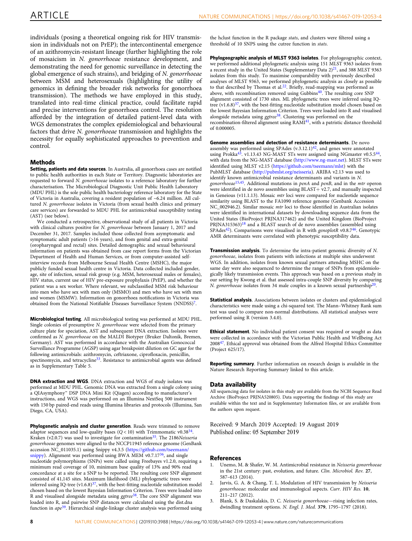<span id="page-7-0"></span>individuals (posing a theoretical ongoing risk for HIV transmission in individuals not on PrEP); the intercontinental emergence of an azithromycin-resistant lineage (further highlighting the role of mosaicism in N. gonorrhoeae resistance development, and demonstrating the need for genomic surveillance in detecting the global emergence of such strains), and bridging of N. gonorrhoeae between MSM and heterosexuals (highlighting the utility of genomics in defining the broader risk networks for gonorrhoea transmission). The methods we have employed in this study, translated into real-time clinical practice, could facilitate rapid and precise interventions for gonorrhoea control. The resolution afforded by the integration of detailed patient-level data with WGS demonstrates the complex epidemiological and behavioural factors that drive N. gonorrhoeae transmission and highlights the necessity for equally sophisticated approaches to prevention and control.

#### **Methods**

Setting, patients and data sources. In Australia, all gonorrhoea cases are notified to public health authorities in each State or Territory. Diagnostic laboratories are requested to forward N. gonorrhoeae isolates to a reference laboratory for further characterisation. The Microbiological Diagnostic Unit Public Health Laboratory (MDU PHL) is the sole public health bacteriology reference laboratory for the State of Victoria in Australia, covering a resident population of ~6.24 million. All cultured N. gonorrhoeae isolates in Victoria (from sexual health clinics and primary care services) are forwarded to MDU PHL for antimicrobial susceptibility testing (AST) (see below).

We conducted a retrospective, observational study of all patients in Victoria with clinical cultures positive for N. gonorrhoeae between January 1, 2017 and December 31, 2017. Samples included those collected from asymptomatic and symptomatic adult patients (>16 years), and from genital and extra-genital (oropharyngeal and rectal) sites. Detailed demographic and sexual behavioural information on patients was obtained from case report forms from the Victorian Department of Health and Human Services, or from computer-assisted selfinterview records from Melbourne Sexual Health Centre (MSHC), the major publicly funded sexual health centre in Victoria. Data collected included gender, age, site of infection, sexual risk group (e.g. MSM, heterosexual males or females), HIV status, current use of HIV pre-exposure prophylaxis (PrEP), and whether the patient was a sex worker. Where relevant, we subclassified MSM risk behaviour into men who have sex with men only (MSMO) and men who have sex with men and women (MSMW). Information on gonorrhoea notifications in Victoria was obtained from the National Notifiable Diseases Surveillance System (NNDSS)[7.](#page-8-0)

Microbiological testing. All microbiological testing was performed at MDU PHL. Single colonies of presumptive N. gonorrhoeae were selected from the primary culture plate for speciation, AST and subsequent DNA extraction. Isolates were confirmed as N. gonorrhoeae on the MALDI Biotyper (Bruker Daltonik, Bremen, Germany). AST was performed in accordance with the Australian Gonococcal Surveillance Programme (AGSP) using agar breakpoint dilution on GC agar for the following antimicrobials: azithromycin, ceftriaxone, ciprofloxacin, penicillin, spectinomycin, and tetracycline<sup>33</sup>. Resistance to antimicrobial agents was defined as in Supplementary Table 5.

DNA extraction and WGS. DNA extraction and WGS of study isolates was performed at MDU PHL. Genomic DNA was extracted from a single colony using a QIAsymphony™ DSP DNA Mini Kit (Qiagen) according to manufacturer's instructions, and WGS was performed on an Illumina NextSeq 500 instrument with 150 bp paired-end reads using Illumina libraries and protocols (Illumina, San Diego, CA, USA).

Phylogenetic analysis and cluster generation. Reads were trimmed to remove adaptor sequences and low-quality bases  $(Q < 10)$  with Trimmomatic v0.38<sup>[34](#page-8-0)</sup>. Kraken (v2.0.7) was used to investigate for contamination<sup>35</sup>. The 2186Neisseria gonorrhoeae genomes were aligned to the NCCP11945 reference genome (GenBank accession NC\_011035.1) using Snippy v4.3.5 [\(https://github.com/tseemann/](https://github.com/tseemann/snippy) [snippy\)](https://github.com/tseemann/snippy). Alignment was performed using BWA MEM v0.7.17<sup>36</sup>, and single nucleotide polymorphisms (SNPs) were called using Freebayes v1.2.0, requiring a minimum read coverage of 10, minimum base quality of 13% and 90% read concordance at a site for a SNP to be reported. The resulting core SNP alignment consisted of 41,145 sites. Maximum likelihood (ML) phylogenetic trees were inferred using IQ-tree  $(v1.6.8)^{37}$  $(v1.6.8)^{37}$  $(v1.6.8)^{37}$ , with the best-fitting nucleotide substitution model chosen based on the lowest Bayesian Information Criterion. Trees were loaded into R and visualised alongside metadata using ggtree<sup>38</sup>. The core SNP alignment was loaded into R, and pairwise SNP distances were calculated using the dist.dna function in  $ape^{39}$  $ape^{39}$  $ape^{39}$ . Hierarchical single-linkage cluster analysis was performed using

the hclust function in the R package stats, and clusters were filtered using a threshold of 10 SNPS using the cutree function in stats.

Phylogeographic analysis of MLST 9363 isolates. For phylogeographic context, we performed additional phylogenetic analysis using 151 MLST 9363 isolates from a recent study in the United States (Supplementary Data  $2)^{21}$ , and 388 MLST 9363 isolates from this study. To maximise comparability with previously described analyses of MLST 9363, we performed phylogenetic analysis as closely as possible to that described by Thomas et al.<sup>22</sup>. Briefly, read-mapping was performed as above, with recombination removed using Gubbins<sup>[40](#page-8-0)</sup>. The resulting core SNP alignment consisted of 1730 sites. ML phylogenetic trees were inferred using IQtree  $(v1.6.8)^{37}$  $(v1.6.8)^{37}$  $(v1.6.8)^{37}$ , with the best-fitting nucleotide substitution model chosen based on the lowest Bayesian Information Criterion. Trees were loaded into R and visualised alongside metadata using ggtree<sup>[38](#page-8-0)</sup>. Clustering was performed on the recombination-filtered alignment using RAMI<sup>[41](#page-8-0)</sup>, with a patristic distance threshold of 0.000005.

Genome assemblies and detection of resistance determinants. De novo assembly was performed using SPAdes  $(v.3.12.1)^{42}$ , and genes were annotated using Prokka<sup>[43](#page-8-0)</sup>. v1.13.43 NG-MAST STs were assigned using NGmaster v0.5.5<sup>44</sup> with data from the NG-MAST database (<http://www.ng-mast.net>). MLST STs were identified using MLST v2.15 ([https://github.com/tseemann/mlst\)](https://github.com/tseemann/mlst) with the PubMLST database [\(http://pubmlst.org/neisseria](http://pubmlst.org/neisseria)). ARIBA v2.13 was used to identify known antimicrobial resistance determinants and variants in N. gonorrhoeae<sup>15,45</sup>. Additional mutations in penA and penB, and in the mtr operon were identified in de novo assemblies using BLAST+ v2.7, and manually inspected in Geneious (v11.1.13). Mosaic mtr loci were compared for nucleotide sequence similarity using BLAST to the FA1090 reference genome (Genbank Accession NC\_002946.2). Similar mosaic mtr loci to those identified in Australian isolates were identified in international datasets by downloading sequence data from the United States (BioProject PRJNA317462) and the United Kingdom (BioProject PRJNA315363) $18$  and a BLAST search of de novo assemblies (assembled using SPAdes<sup>42</sup>). Comparisons were visualised in R with genoplotR v0.8.7<sup>46</sup>. Genotypic AMR determinants were correlated with phenotypic susceptibility data.

Transmission analysis. To determine the intra-patient genomic diversity of N. gonorrhoeae, isolates from patients with infections at multiple sites underwent WGS. In addition, isolates from known sexual partners attending MSHC on the same day were also sequenced to determine the range of SNPs from epidemiologically likely transmission events. This approach was based on a previous study in our setting by Kwong et al. that assessed intra-couple SNP diversity by comparing N. gonorrhoeae isolates from 34 male couples in a known sexual partnership<sup>20</sup>.

Statistical analysis. Associations between isolates or clusters and epidemiological characteristics were made using a chi-squared test. The Mann–Whitney Rank sum test was used to compare non-normal distributions. All statistical analyses were performed using R (version 3.4.0).

Ethical statement. No individual patient consent was required or sought as data were collected in accordance with the Victorian Public Health and Wellbeing Act 2008[47.](#page-8-0) Ethical approval was obtained from the Alfred Hospital Ethics Committee (Project 625/17).

Reporting summary. Further information on research design is available in the Nature Research Reporting Summary linked to this article.

#### Data availability

All sequencing data for isolates in this study are available from the NCBI Sequence Read Archive (BioProject PRJNA520805). Data supporting the findings of this study are available within the text and in Supplementary Information files, or are available from the authors upon request.

Received: 9 March 2019 Accepted: 19 August 2019 Published online: 05 September 2019

#### References

- Unemo, M. & Shafer, W. M. Antimicrobial resistance in Neisseria gonorrhoeae in the 21st century: past, evolution, and future. Clin. Microbiol. Rev. 27, 587–613 (2014).
- 2. Jarvis, G. A. & Chang, T. L. Modulation of HIV transmission by Neisseria gonorrhoeae: molecular and immunological aspects. Curr. HIV Res. 10, 211–217 (2012).
- Blank, S. & Daskalakis, D. C. Neisseria gonorrhoeae-rising infection rates, dwindling treatment options. N. Engl. J. Med. 379, 1795–1797 (2018).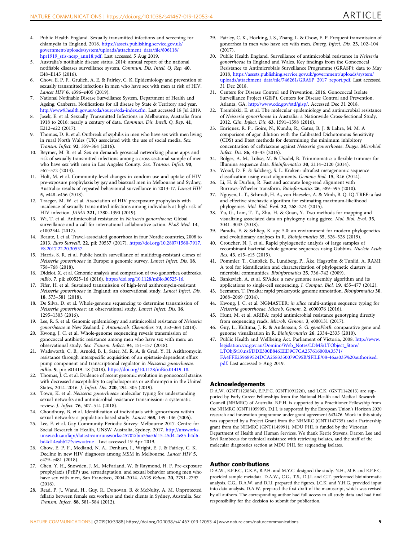- <span id="page-8-0"></span>4. Public Health England. Sexually transmitted infections and screening for chlamydia in England, 2018. [https://assets.publishing.service.gov.uk/](https://assets.publishing.service.gov.uk/government/uploads/system/uploads/attachment_data/file/806118/hpr1919_stis-ncsp_ann18.pdf) [government/uploads/system/uploads/attachment\\_data/](https://assets.publishing.service.gov.uk/government/uploads/system/uploads/attachment_data/file/806118/hpr1919_stis-ncsp_ann18.pdf)file/806118/ [hpr1919\\_stis-ncsp\\_ann18.pdf.](https://assets.publishing.service.gov.uk/government/uploads/system/uploads/attachment_data/file/806118/hpr1919_stis-ncsp_ann18.pdf) Last accessed 5 Aug 2019.
- 5. Australia's notifiable disease status. 2014: annual report of the national notifiable diseases surveillance system. Commun. Dis. Intell. Q. Rep. 40, E48–E145 (2016).
- 6. Chow, E. P. F., Grulich, A. E. & Fairley, C. K. Epidemiology and prevention of sexually transmitted infections in men who have sex with men at risk of HIV. Lancet HIV 6, e396–e405 (2019).
- 7. National Notifiable Disease Surveillance System, Department of Health and Ageing, Canberra. Notifications for all disease by State & Territory and year. <http://www9.health.gov.au/cda/source/cda-index.cfm>. Last accessed 18 Jul 2019.
- 8. Jasek, E. et al. Sexually Transmitted Infections in Melbourne, Australia from 1918 to 2016: nearly a century of data. Commun. Dis. Intell. Q. Rep. 41, E212–e22 (2017).
- 9. Thomas, D. R. et al. Outbreak of syphilis in men who have sex with men living in rural North Wales (UK) associated with the use of social media. Sex. Transm. Infect. 92, 359–364 (2016).
- 10. Beymer, M. R. et al. Sex on demand: geosocial networking phone apps and risk of sexually transmitted infections among a cross-sectional sample of men who have sex with men in Los Angeles County. Sex. Transm. Infect. 90, 567–572 (2014).
- 11. Holt, M. et al. Community-level changes in condom use and uptake of HIV pre-exposure prophylaxis by gay and bisexual men in Melbourne and Sydney, Australia: results of repeated behavioural surveillance in 2013-17. Lancet HIV 5, e448–e456 (2018).
- 12. Traeger, M. W. et al. Association of HIV preexposure prophylaxis with incidence of sexually transmitted infections among individuals at high risk of HIV infection. JAMA 321, 1380–1390 (2019).
- 13. Wi, T. et al. Antimicrobial resistance in Neisseria gonorrhoeae: Global surveillance and a call for international collaborative action. PLoS Med. 14, e1002344 (2017).
- 14. Beaute, J. et al. Travel-associated gonorrhoea in four Nordic countries, 2008 to 2013. Euro Surveill. 22, pii: 30537 (2017). [https://doi.org/10.2807/1560-7917.](https://doi.org/10.2807/1560-7917.ES.2017.22.20.30537) [ES.2017.22.20.30537](https://doi.org/10.2807/1560-7917.ES.2017.22.20.30537).
- 15. Harris, S. R. et al. Public health surveillance of multidrug-resistant clones of Neisseria gonorrhoeae in Europe: a genomic survey. Lancet Infect. Dis. 18, 758–768 (2018).
- 16. Didelot, X. et al. Genomic analysis and comparison of two gonorrhea outbreaks. mBio. 7, pii: e00525–16 (2016). [https://doi.org/10.1128/mBio.00525-16.](https://doi.org/10.1128/mBio.00525-16)
- 17. Fifer, H. et al. Sustained transmission of high-level azithromycin-resistant Neisseria gonorrhoeae in England: an observational study. Lancet Infect. Dis. 18, 573–581 (2018).
- 18. De Silva, D. et al. Whole-genome sequencing to determine transmission of Neisseria gonorrhoeae: an observational study. Lancet Infect. Dis. 16, 1295–1303 (2016).
- 19. Lee, R. S. et al. Genomic epidemiology and antimicrobial resistance of Neisseria gonorrhoeae in New Zealand. J. Antimicrob. Chemother. 73, 353–364 (2018).
- 20. Kwong, J. C. et al. Whole-genome sequencing reveals transmission of gonococcal antibiotic resistance among men who have sex with men: an observational study. Sex. Transm. Infect. 94, 151–157 (2018).
- 21. Wadsworth, C. B., Arnold, B. J., Sater, M. R. A. & Grad, Y. H. Azithromycin resistance through interspecific acquisition of an epistasis-dependent efflux pump component and transcriptional regulator in Neisseria gonorrhoeae. mBio. 9, pii: e01419–18 (2018). <https://doi.org/10.1128/mBio.01419-18>.
- 22. Thomas, J. C. et al. Evidence of recent genomic evolution in gonococcal strains with decreased susceptibility to cephalosporins or azithromycin in the United States, 2014–2016. J. Infect. Dis. 220, 294–305 (2019).
- 23. Town, K. et al. Neisseria gonorrhoeae molecular typing for understanding sexual networks and antimicrobial resistance transmission: a systematic review. J. Infect. 76, 507–514 (2018).
- 24. Choudhury, B. et al. Identification of individuals with gonorrhoea within sexual networks: a population-based study. Lancet 368, 139–146 (2006).
- 25. Lee, E. et al. Gay Community Periodic Survey: Melbourne 2017. Centre for Social Research in Health, UNSW Australia, Sydney. 2017. [http://unsworks.](http://unsworks.unsw.edu.au/fapi/datastream/unsworks:45702/bin55ae0d15-45d4-4e85-b4d6-bd4d14eabb27?view=true) [unsw.edu.au/fapi/datastream/unsworks:45702/bin55ae0d15-45d4-4e85-b4d6](http://unsworks.unsw.edu.au/fapi/datastream/unsworks:45702/bin55ae0d15-45d4-4e85-b4d6-bd4d14eabb27?view=true) [bd4d14eabb27?view](http://unsworks.unsw.edu.au/fapi/datastream/unsworks:45702/bin55ae0d15-45d4-4e85-b4d6-bd4d14eabb27?view=true)=true . Last accessed 19 Apr 2019.
- 26. Chow, E. P. F., Medland, N. A., Denham, I., Wright, E. J. & Fairley, C. K. Decline in new HIV diagnoses among MSM in Melbourne. Lancet HIV 5, e479–e481 (2018).
- 27. Chen, Y. H., Snowden, J. M., McFarland, W. & Raymond, H. F. Pre-exposure prophylaxis (PrEP) use, seroadaptation, and sexual behavior among men who have sex with men, San Francisco, 2004–2014. AIDS Behav. 20, 2791–2797  $(2016)$
- 28. Read, P. J., Wand, H., Guy, R., Donovan, B. & McNulty, A. M. Unprotected fellatio between female sex workers and their clients in Sydney, Australia. Sex. Transm. Infect. 88, 581–584 (2012).
- 29. Fairley, C. K., Hocking, J. S., Zhang, L. & Chow, E. P. Frequent transmission of gonorrhea in men who have sex with men. Emerg. Infect. Dis. 23, 102–104 (2017).
- 30. Public Health England. Surveillance of antimicrobial resistance in Neisseria gonorrhoeae in England and Wales. Key findings from the Gonococcal Resistance to Antimicrobials Surveillance Programme (GRASP): data to May 2018, [https://assets.publishing.service.gov.uk/government/uploads/system/](https://assets.publishing.service.gov.uk/government/uploads/system/uploads/attachment_data/file/746261/GRASP_2017_report.pdf) uploads/attachment\_data/fi[le/746261/GRASP\\_2017\\_report.pdf](https://assets.publishing.service.gov.uk/government/uploads/system/uploads/attachment_data/file/746261/GRASP_2017_report.pdf). Last accessed 31 Dec 2018.
- 31. Centers for Disease Control and Prevention, 2016. Gonococcal Isolate Surveillance Project (GISP). Centers for Disease Control and Prevention, Atlanta, GA. <http://www.cdc.gov/std/gisp/>. Accessed Dec 31 2018.
- 32. Trembizki, E. et al. The molecular epidemiology and antimicrobial resistance of Neisseria gonorrhoeae in Australia: a Nationwide Cross-Sectional Study, 2012. Clin. Infect. Dis. 63, 1591–1598 (2016).
- 33. Enriquez, R. P., Goire, N., Kundu, R., Gatus, B. J. & Lahra, M. M. A comparison of agar dilution with the Calibrated Dichotomous Sensitivity (CDS) and Etest methods for determining the minimum inhibitory concentration of ceftriaxone against Neisseria gonorrhoeae. Diagn. Microbiol. Infect. Dis. 86, 40–43 (2016).
- 34. Bolger, A. M., Lohse, M. & Usadel, B. Trimmomatic: a flexible trimmer for Illumina sequence data. Bioinformatics 30, 2114–2120 (2014).
- 35. Wood, D. E. & Salzberg, S. L. Kraken: ultrafast metagenomic sequence classification using exact alignments. Genome Biol. 15, R46 (2014).
- 36. Li, H. & Durbin, R. Fast and accurate long-read alignment with Burrows–Wheeler transform. Bioinformatics 26, 589–595 (2010).
- 37. Nguyen, L. T., Schmidt, H. A., von Haeseler, A. & Minh, B. Q. IQ-TREE: a fast and effective stochastic algorithm for estimating maximum-likelihood phylogenies. Mol. Biol. Evol. 32, 268–274 (2015).
- 38. Yu, G., Lam, T. T., Zhu, H. & Guan, Y. Two methods for mapping and visualizing associated data on phylogeny using ggtree. Mol. Biol. Evol. 35, 3041–3043 (2018).
- 39. Paradis, E. & Schliep, K. ape 5.0: an environment for modern phylogenetics and evolutionary analyses in R. Bioinformatics 35, 526–528 (2019).
- 40. Croucher, N. J. et al. Rapid phylogenetic analysis of large samples of recombinant bacterial whole genome sequences using Gubbins. Nucleic Acids Res. 43, e15–e15 (2015).
- 41. Pommier, T., Canbäck, B., Lundberg, P., Åke, Hagström & Tunlid, A. RAMI: A tool for identification and characterization of phylogenetic clusters in microbial communities. Bioinformatics 25, 736–742 (2009).
- Bankevich, A. et al. SPAdes: a new genome assembly algorithm and its applications to single-cell sequencing. J. Comput. Biol. 19, 455–477 (2012).
- 43. Seemann, T. Prokka: rapid prokaryotic genome annotation. Bioinformatics 30, 2068–2069 (2014).
- 44. Kwong, J. C. et al. NGMASTER: in silico multi-antigen sequence typing for Neisseria gonorrhoeae. Microb. Genom. 2, e000076 (2016).
- 45. Hunt, M. et al. ARIBA: rapid antimicrobial resistance genotyping directly from sequencing reads. Microb. Genom. 3, e000131 (2017).
- 46. Guy, L., Kultima, J. R. & Andersson, S. G. genoPlotR: comparative gene and genome visualization in R. Bioinformatics 26, 2334–2335 (2010).
- 47. Public Health and Wellbeing Act. Parliament of Victoria, 2008. [http://www.](http://www.legislation.vic.gov.au/Domino/Web_Notes/LDMS/LTObject_Store/LTObjSt10.nsf/DDE300B846EED9C7CA257616000A3571/FA4FFE259689524DCA2583350079C95B/$FILE/08-46aa035%20authorised.pdf) [legislation.vic.gov.au/Domino/Web\\_Notes/LDMS/LTObject\\_Store/](http://www.legislation.vic.gov.au/Domino/Web_Notes/LDMS/LTObject_Store/LTObjSt10.nsf/DDE300B846EED9C7CA257616000A3571/FA4FFE259689524DCA2583350079C95B/$FILE/08-46aa035%20authorised.pdf) [LTObjSt10.nsf/DDE300B846EED9C7CA257616000A3571/](http://www.legislation.vic.gov.au/Domino/Web_Notes/LDMS/LTObject_Store/LTObjSt10.nsf/DDE300B846EED9C7CA257616000A3571/FA4FFE259689524DCA2583350079C95B/$FILE/08-46aa035%20authorised.pdf) [FA4FFE259689524DCA2583350079C95B/\\$FILE/08-46aa035%20authorised.](http://www.legislation.vic.gov.au/Domino/Web_Notes/LDMS/LTObject_Store/LTObjSt10.nsf/DDE300B846EED9C7CA257616000A3571/FA4FFE259689524DCA2583350079C95B/$FILE/08-46aa035%20authorised.pdf) [pdf](http://www.legislation.vic.gov.au/Domino/Web_Notes/LDMS/LTObject_Store/LTObjSt10.nsf/DDE300B846EED9C7CA257616000A3571/FA4FFE259689524DCA2583350079C95B/$FILE/08-46aa035%20authorised.pdf). Last accessed 5 Aug 2019.

#### Acknowledgements

D.A.W. (GNT1123854), E.P.F.C. (GNT1091226), and J.C.K. (GNT1142613) are supported by Early Career Fellowships from the National Health and Medical Research Council (NHMRC) of Australia. B.P.H. is supported by a Practitioner Fellowship from the NHMRC (GNT1105905). D.J.I. is supported by the European Union's Horizon 2020 research and innovation programme under grant agreement 643476. Work in this study was supported by a Project Grant from the NHMRC (GNT1147735) and a Partnership grant from the NHMRC (GNT1149991). MDU PHL is funded by the Victorian Department of Health and Human Services. We thank Kerrie Stevens, Darren Lee and Savi Rambocus for technical assistance with retrieving isolates, and the staff of the molecular diagnostics section at MDU PHL for sequencing isolates.

#### Author contributions

D.A.W., E.P.F.C., C.K.F., B.P.H. and M.Y.C. designed the study. N.H., M.E. and E.P.F.C. provided sample metadata. D.A.W., C.G., T.S., D.J.I. and G.T. performed bioinformatic analysis. C.G., D.A.W. and D.J.I. prepared the figures. J.C.K. and Y.H.G. provided input into data analysis. D.A.W. prepared the first draft of the manuscript, which was revised by all authors. The corresponding author had full access to all study data and had final responsibility for the decision to submit for publication.